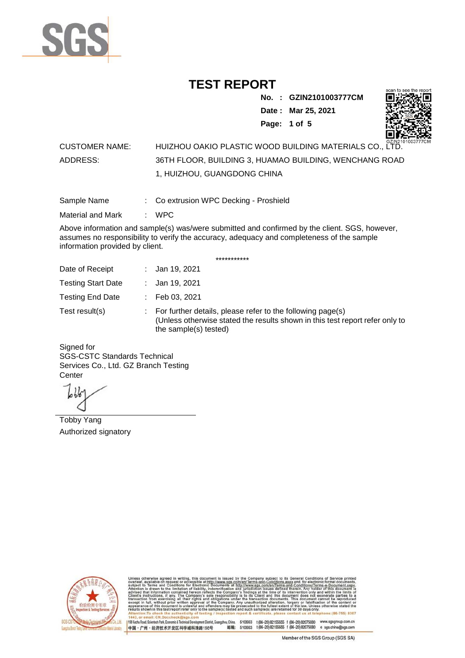

**No. : GZIN2101003777CM Date : Mar 25, 2021**

**Page: 1 of 5** 



#### CUSTOMER NAME: HUIZHOU OAKIO PLASTIC WOOD BUILDING MATERIALS CO., LTD. ADDRESS: 36TH FLOOR, BUILDING 3, HUAMAO BUILDING, WENCHANG ROAD 1, HUIZHOU, GUANGDONG CHINA

Sample Name : Co extrusion WPC Decking - Proshield

Material and Mark : WPC

Above information and sample(s) was/were submitted and confirmed by the client. SGS, however, assumes no responsibility to verify the accuracy, adequacy and completeness of the sample information provided by client.

\*\*\*\*\*\*\*\*\*\*\*

| Date of Receipt           | : Jan 19, 2021                                                                                                                                                        |
|---------------------------|-----------------------------------------------------------------------------------------------------------------------------------------------------------------------|
| <b>Testing Start Date</b> | : Jan 19, 2021                                                                                                                                                        |
| <b>Testing End Date</b>   | $\therefore$ Feb 03, 2021                                                                                                                                             |
| Test result(s)            | : For further details, please refer to the following page(s)<br>(Unless otherwise stated the results shown in this test report refer only to<br>the sample(s) tested) |

Signed for SGS-CSTC Standards Technical Services Co., Ltd. GZ Branch Testing **Center** 

Tobby Yang Authorized signatory



510663 t(86-20) 82155555 f (86-20) 82075080 www.sgsgroup.com.cn<br>510663 t(86-20) 82155555 f (86-20) 82075080 e sgs.china@sgs.com 198 Kezhu Road, Scientech Park, Eco nomic & Technical Devel tou, China. ant District C 邮编: 中国·广州·经济技术开发区科学城科珠路198号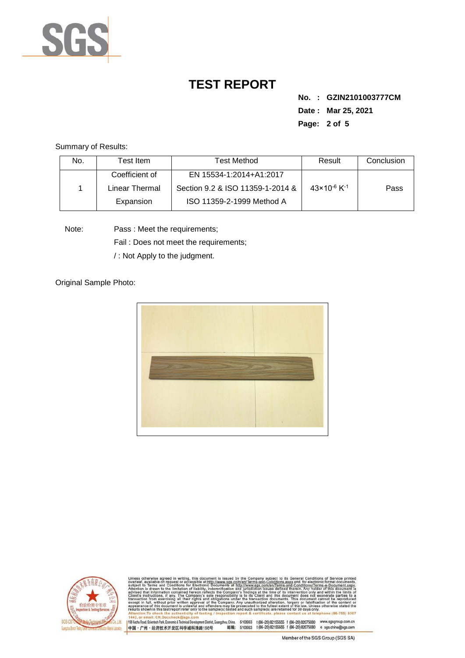

**No. : GZIN2101003777CM Date : Mar 25, 2021 Page: 2 of 5** 

Summary of Results:

| No. | Test Item.     | <b>Test Method</b>               | Result                              | Conclusion |
|-----|----------------|----------------------------------|-------------------------------------|------------|
|     | Coefficient of | EN 15534-1:2014+A1:2017          |                                     |            |
|     | Linear Thermal | Section 9.2 & ISO 11359-1-2014 & | $43 \times 10^{-6}$ K <sup>-1</sup> | Pass       |
|     | Expansion      | ISO 11359-2-1999 Method A        |                                     |            |

Note: Pass : Meet the requirements;

Fail : Does not meet the requirements;

/ : Not Apply to the judgment.

Original Sample Photo:





Conditions/Terms-e-Dor<br>rein. Any holder of this 8307 nentDistrict,Guangzhou,China. 510663 t (86–20) 82155555 f (86–20) 82075080 www.sgsgroup.com.cn<br>格198号 邮编: 510663 t (86–20) 82155555 f (86–20) 82075080 e sgs.china@sgs.com 198 Kezhu Road, Scientech Park, Economic & Technical Develo 中国·广州·经济技术开发区科学城科珠路198号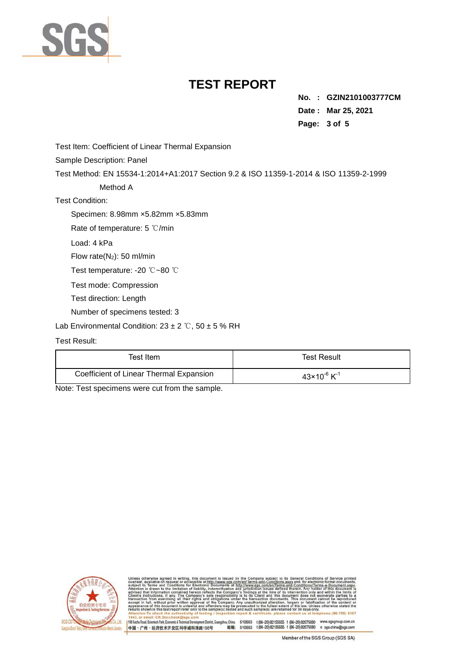

**No. : GZIN2101003777CM Date : Mar 25, 2021 Page: 3 of 5** 

Test Item: Coefficient of Linear Thermal Expansion

Sample Description: Panel

Test Method: EN 15534-1:2014+A1:2017 Section 9.2 & ISO 11359-1-2014 & ISO 11359-2-1999

Method A

Test Condition:

Specimen: 8.98mm ×5.82mm ×5.83mm

Rate of temperature: 5 ℃/min

Load: 4 kPa

Flow rate(N2): 50 ml/min

Test temperature: -20 ℃~80 ℃

Test mode: Compression

Test direction: Length

Number of specimens tested: 3

Lab Environmental Condition:  $23 \pm 2$  °C,  $50 \pm 5$  % RH

#### Test Result:

| Test Item.                              | <b>Test Result</b>                  |
|-----------------------------------------|-------------------------------------|
| Coefficient of Linear Thermal Expansion | $43 \times 10^{-6}$ K <sup>-1</sup> |

Note: Test specimens were cut from the sample.



198 Kezhu Road, Scientech Park, Economic & Technical Develo

nentDistrict,Guangzhou,China. 510663 t (86–20) 82155555 f (86–20) 82075080 www.sgsgroup.com.cn<br>格198号 邮编: 510663 t (86–20) 82155555 f (86–20) 82075080 e sgs.china@sgs.com 中国·广州·经济技术开发区科学城科珠路198号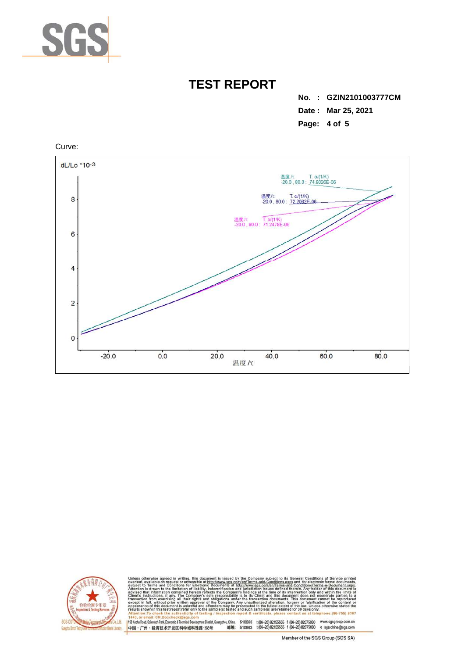

**No. : GZIN2101003777CM Date : Mar 25, 2021 Page: 4 of 5** 





and-Conditions/Terms-e-Docun<br>ed therein. Any holder of this do only ar<br>not ex